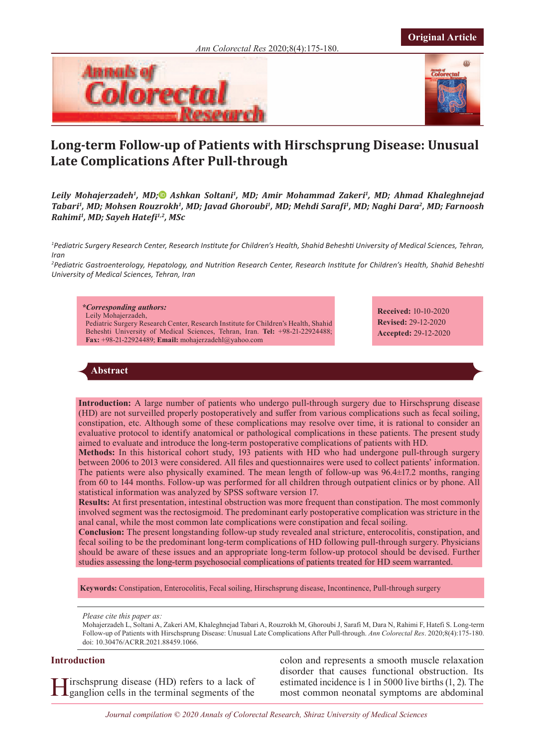



**Original Article**

# **Long-term Follow-up of Patients with Hirschsprung Disease: Unusual Late Complications After Pull-through**

Leily Mohajerzadeh<sup>1</sup>, MD<sub>i</sub><sup>®</sup> Ashkan Soltani<sup>1</sup>, MD[;](https://www.orcid.org/0000-0002-9945-8964) Amir Mohammad Zakeri<sup>1</sup>, MD; Ahmad Khaleghnejad *Tabari1, MD; Mohsen Rouzrokh1, MD; Javad Ghoroubi1, MD; Mehdi Sarafi1, MD; Naghi Dara2, MD; Farnoosh Rahimi1, MD; Sayeh Hatefi1,2, MSc*

*1 Pediatric Surgery Research Center, Research Institute for Children's Health, Shahid Beheshti University of Medical Sciences, Tehran, Iran*

*2 Pediatric Gastroenterology, Hepatology, and Nutrition Research Center, Research Institute for Children's Health, Shahid Beheshti University of Medical Sciences, Tehran, Iran*

*\*Corresponding authors:*  Leily Mohajerzadeh, Pediatric Surgery Research Center, Research Institute for Children's Health, Shahid Beheshti University of Medical Sciences, Tehran, Iran. **Tel:** +98-21-22924488; **Fax:** +98-21-22924489; **Email:** mohajerzadehl@yahoo.com

**Received:** 10-10-2020 **Revised:** 29-12-2020 **Accepted:** 29-12-2020

# **Abstract**

**Introduction:** A large number of patients who undergo pull-through surgery due to Hirschsprung disease (HD) are not surveilled properly postoperatively and suffer from various complications such as fecal soiling, constipation, etc. Although some of these complications may resolve over time, it is rational to consider an evaluative protocol to identify anatomical or pathological complications in these patients. The present study aimed to evaluate and introduce the long-term postoperative complications of patients with HD.

**Methods:** In this historical cohort study, 193 patients with HD who had undergone pull-through surgery between 2006 to 2013 were considered. All files and questionnaires were used to collect patients' information. The patients were also physically examined. The mean length of follow-up was 96.4±17.2 months, ranging from 60 to 144 months. Follow-up was performed for all children through outpatient clinics or by phone. All statistical information was analyzed by SPSS software version 17.

**Results:** At first presentation, intestinal obstruction was more frequent than constipation. The most commonly involved segment was the rectosigmoid. The predominant early postoperative complication was stricture in the anal canal, while the most common late complications were constipation and fecal soiling.

**Conclusion:** The present longstanding follow-up study revealed anal stricture, enterocolitis, constipation, and fecal soiling to be the predominant long-term complications of HD following pull-through surgery. Physicians should be aware of these issues and an appropriate long-term follow-up protocol should be devised. Further studies assessing the long-term psychosocial complications of patients treated for HD seem warranted.

**Keywords:** Constipation, Enterocolitis, Fecal soiling, Hirschsprung disease, Incontinence, Pull-through surgery

*Please cite this paper as:*

Mohajerzadeh L, Soltani A, Zakeri AM, Khaleghnejad Tabari A, Rouzrokh M, Ghoroubi J, Sarafi M, Dara N, Rahimi F, Hatefi S. Long-term Follow-up of Patients with Hirschsprung Disease: Unusual Late Complications After Pull-through. *Ann Colorectal Res*. 2020;8(4):175-180. doi: 10.30476/ACRR.2021.88459.1066.

# **Introduction**

Hirschsprung disease (HD) refers to a lack of ganglion cells in the terminal segments of the

colon and represents a smooth muscle relaxation disorder that causes functional obstruction. Its estimated incidence is 1 in 5000 live births (1, 2). The most common neonatal symptoms are abdominal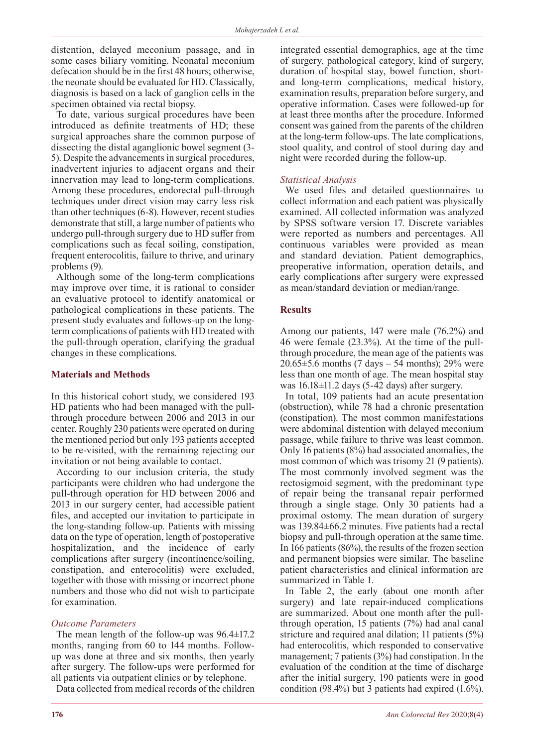distention, delayed meconium passage, and in some cases biliary vomiting. Neonatal meconium defecation should be in the first 48 hours; otherwise, the neonate should be evaluated for HD. Classically, diagnosis is based on a lack of ganglion cells in the specimen obtained via rectal biopsy.

To date, various surgical procedures have been introduced as definite treatments of HD; these surgical approaches share the common purpose of dissecting the distal aganglionic bowel segment (3- 5). Despite the advancements in surgical procedures, inadvertent injuries to adjacent organs and their innervation may lead to long-term complications. Among these procedures, endorectal pull-through techniques under direct vision may carry less risk than other techniques (6-8). However, recent studies demonstrate that still, a large number of patients who undergo pull-through surgery due to HD suffer from complications such as fecal soiling, constipation, frequent enterocolitis, failure to thrive, and urinary problems (9).

Although some of the long-term complications may improve over time, it is rational to consider an evaluative protocol to identify anatomical or pathological complications in these patients. The present study evaluates and follows-up on the longterm complications of patients with HD treated with the pull-through operation, clarifying the gradual changes in these complications.

## **Materials and Methods**

In this historical cohort study, we considered 193 HD patients who had been managed with the pullthrough procedure between 2006 and 2013 in our center. Roughly 230 patients were operated on during the mentioned period but only 193 patients accepted to be re-visited, with the remaining rejecting our invitation or not being available to contact.

According to our inclusion criteria, the study participants were children who had undergone the pull-through operation for HD between 2006 and 2013 in our surgery center, had accessible patient files, and accepted our invitation to participate in the long-standing follow-up. Patients with missing data on the type of operation, length of postoperative hospitalization, and the incidence of early complications after surgery (incontinence/soiling, constipation, and enterocolitis) were excluded, together with those with missing or incorrect phone numbers and those who did not wish to participate for examination.

## *Outcome Parameters*

The mean length of the follow-up was 96.4±17.2 months, ranging from 60 to 144 months. Followup was done at three and six months, then yearly after surgery. The follow-ups were performed for all patients via outpatient clinics or by telephone.

Data collected from medical records of the children

integrated essential demographics, age at the time of surgery, pathological category, kind of surgery, duration of hospital stay, bowel function, shortand long-term complications, medical history, examination results, preparation before surgery, and operative information. Cases were followed-up for at least three months after the procedure. Informed consent was gained from the parents of the children at the long-term follow-ups. The late complications, stool quality, and control of stool during day and night were recorded during the follow-up.

# *Statistical Analysis*

We used files and detailed questionnaires to collect information and each patient was physically examined. All collected information was analyzed by SPSS software version 17. Discrete variables were reported as numbers and percentages. All continuous variables were provided as mean and standard deviation. Patient demographics, preoperative information, operation details, and early complications after surgery were expressed as mean/standard deviation or median/range.

# **Results**

Among our patients, 147 were male (76.2%) and 46 were female (23.3%). At the time of the pullthrough procedure, the mean age of the patients was 20.65 $\pm$ 5.6 months (7 days – 54 months); 29% were less than one month of age. The mean hospital stay was  $16.18 \pm 11.2$  days (5-42 days) after surgery.

In total, 109 patients had an acute presentation (obstruction), while 78 had a chronic presentation (constipation). The most common manifestations were abdominal distention with delayed meconium passage, while failure to thrive was least common. Only 16 patients (8%) had associated anomalies, the most common of which was trisomy 21 (9 patients). The most commonly involved segment was the rectosigmoid segment, with the predominant type of repair being the transanal repair performed through a single stage. Only 30 patients had a proximal ostomy. The mean duration of surgery was 139.84±66.2 minutes. Five patients had a rectal biopsy and pull-through operation at the same time. In 166 patients (86%), the results of the frozen section and permanent biopsies were similar. The baseline patient characteristics and clinical information are summarized in Table 1.

In Table 2, the early (about one month after surgery) and late repair-induced complications are summarized. About one month after the pullthrough operation, 15 patients (7%) had anal canal stricture and required anal dilation; 11 patients (5%) had enterocolitis, which responded to conservative management; 7 patients (3%) had constipation. In the evaluation of the condition at the time of discharge after the initial surgery, 190 patients were in good condition (98.4%) but 3 patients had expired (1.6%).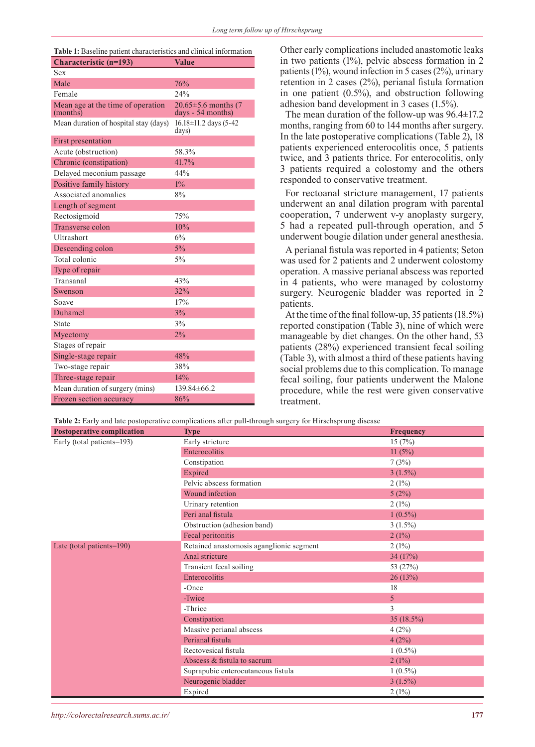| <b>Table 1:</b> Baseline patient characteristics and clinical information |                                                 |  |  |  |
|---------------------------------------------------------------------------|-------------------------------------------------|--|--|--|
| <b>Characteristic (n=193)</b>                                             | <b>Value</b>                                    |  |  |  |
| Sex                                                                       |                                                 |  |  |  |
| Male                                                                      | 76%                                             |  |  |  |
| Female                                                                    | 24%                                             |  |  |  |
| Mean age at the time of operation<br>(months)                             | $20.65 \pm 5.6$ months (7)<br>days - 54 months) |  |  |  |
| Mean duration of hospital stay (days)                                     | $16.18 \pm 11.2$ days (5-42)<br>days)           |  |  |  |
| First presentation                                                        |                                                 |  |  |  |
| Acute (obstruction)                                                       | 58.3%                                           |  |  |  |
| Chronic (constipation)                                                    | 41.7%                                           |  |  |  |
| Delayed meconium passage                                                  | 44%                                             |  |  |  |
| Positive family history                                                   | $1\%$                                           |  |  |  |
| Associated anomalies                                                      | 8%                                              |  |  |  |
| Length of segment                                                         |                                                 |  |  |  |
| Rectosigmoid                                                              | 75%                                             |  |  |  |
| Transverse colon                                                          | 10%                                             |  |  |  |
| Ultrashort                                                                | 6%                                              |  |  |  |
| Descending colon                                                          | 5%                                              |  |  |  |
| Total colonic                                                             | $5\%$                                           |  |  |  |
| Type of repair                                                            |                                                 |  |  |  |
| Transanal                                                                 | 43%                                             |  |  |  |
| Swenson                                                                   | 32%                                             |  |  |  |
| Soave                                                                     | 17%                                             |  |  |  |
| Duhamel                                                                   | 3%                                              |  |  |  |
| State                                                                     | 3%                                              |  |  |  |
| Myectomy                                                                  | 2%                                              |  |  |  |
| Stages of repair                                                          |                                                 |  |  |  |
| Single-stage repair                                                       | 48%                                             |  |  |  |
| Two-stage repair                                                          | 38%                                             |  |  |  |
| Three-stage repair                                                        | 14%                                             |  |  |  |
| Mean duration of surgery (mins)                                           | 139.84±66.2                                     |  |  |  |
| Frozen section accuracy                                                   | 86%                                             |  |  |  |

Other early complications included anastomotic leaks in two patients (1%), pelvic abscess formation in 2 patients (1%), wound infection in 5 cases (2%), urinary retention in 2 cases (2%), perianal fistula formation in one patient (0.5%), and obstruction following adhesion band development in 3 cases (1.5%).

The mean duration of the follow-up was 96.4±17.2 months, ranging from 60 to 144 months after surgery. In the late postoperative complications (Table 2), 18 patients experienced enterocolitis once, 5 patients twice, and 3 patients thrice. For enterocolitis, only 3 patients required a colostomy and the others responded to conservative treatment.

For rectoanal stricture management, 17 patients underwent an anal dilation program with parental cooperation, 7 underwent v-y anoplasty surgery, 5 had a repeated pull-through operation, and 5 underwent bougie dilation under general anesthesia.

A perianal fistula was reported in 4 patients; Seton was used for 2 patients and 2 underwent colostomy operation. A massive perianal abscess was reported in 4 patients, who were managed by colostomy surgery. Neurogenic bladder was reported in 2 patients.

At the time of the final follow-up, 35 patients (18.5%) reported constipation (Table 3), nine of which were manageable by diet changes. On the other hand, 53 patients (28%) experienced transient fecal soiling (Table 3), with almost a third of these patients having social problems due to this complication. To manage fecal soiling, four patients underwent the Malone procedure, while the rest were given conservative treatment.

**Table 2:** Early and late postoperative complications after pull-through surgery for Hirschsprung disease

| <b>Postoperative complication</b> | <b>Type</b>                              | <b>Frequency</b> |
|-----------------------------------|------------------------------------------|------------------|
| Early (total patients=193)        | Early stricture                          | 15(7%)           |
|                                   | Enterocolitis                            | 11(5%)           |
|                                   | Constipation                             | 7(3%)            |
|                                   | Expired                                  | $3(1.5\%)$       |
|                                   | Pelvic abscess formation                 | 2(1%)            |
|                                   | Wound infection                          | 5(2%)            |
|                                   | Urinary retention                        | 2(1%)            |
|                                   | Peri anal fistula                        | $1(0.5\%)$       |
|                                   | Obstruction (adhesion band)              | $3(1.5\%)$       |
|                                   | Fecal peritonitis                        | 2(1%)            |
| Late (total patients=190)         | Retained anastomosis aganglionic segment | 2(1%)            |
|                                   | Anal stricture                           | 34 (17%)         |
|                                   | Transient fecal soiling                  | 53 (27%)         |
|                                   | Enterocolitis                            | 26 (13%)         |
|                                   | -Once                                    | 18               |
|                                   | -Twice                                   | 5                |
|                                   | -Thrice                                  | 3                |
|                                   | Constipation                             | 35 (18.5%)       |
|                                   | Massive perianal abscess                 | 4(2%)            |
|                                   | Perianal fistula                         | 4(2%)            |
|                                   | Rectovesical fistula                     | $1(0.5\%)$       |
|                                   | Abscess & fistula to sacrum              | 2(1%)            |
|                                   | Suprapubic enterocutaneous fistula       | $1(0.5\%)$       |
|                                   | Neurogenic bladder                       | $3(1.5\%)$       |
|                                   | Expired                                  | 2(1%)            |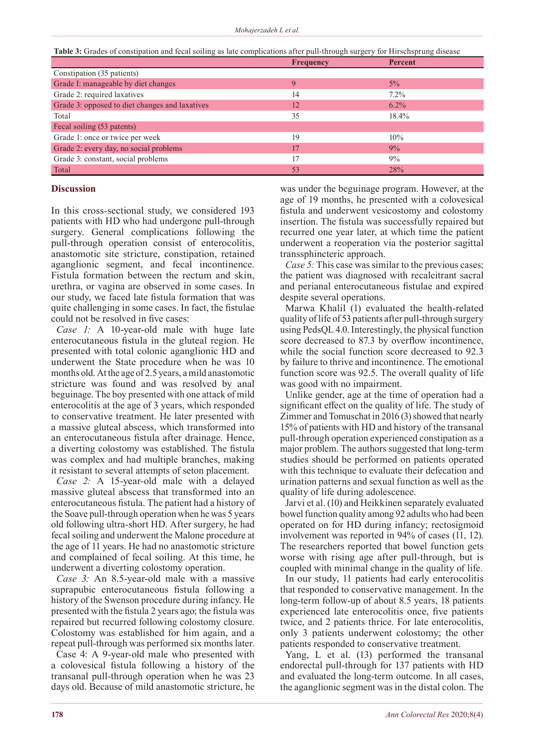**Table 3:** Grades of constipation and fecal soiling as late complications after pull-through surgery for Hirschsprung disease

|                                                | <b>Frequency</b> | <b>Percent</b> |  |  |
|------------------------------------------------|------------------|----------------|--|--|
| Constipation (35 patients)                     |                  |                |  |  |
| Grade I: manageable by diet changes            | 9                | $5\%$          |  |  |
| Grade 2: required laxatives                    | 14               | $7.2\%$        |  |  |
| Grade 3: opposed to diet changes and laxatives | 12               | $6.2\%$        |  |  |
| Total                                          | 35               | 18.4%          |  |  |
| Fecal soiling (53 patents)                     |                  |                |  |  |
| Grade 1: once or twice per week                | 19               | 10%            |  |  |
| Grade 2: every day, no social problems         | 17               | $9\%$          |  |  |
| Grade 3: constant, social problems             | 17               | $9\%$          |  |  |
| Total                                          | 53               | 28%            |  |  |

#### **Discussion**

In this cross-sectional study, we considered 193 patients with HD who had undergone pull-through surgery. General complications following the pull-through operation consist of enterocolitis, anastomotic site stricture, constipation, retained aganglionic segment, and fecal incontinence. Fistula formation between the rectum and skin, urethra, or vagina are observed in some cases. In our study, we faced late fistula formation that was quite challenging in some cases. In fact, the fistulae could not be resolved in five cases:

*Case 1:* A 10-year-old male with huge late enterocutaneous fistula in the gluteal region. He presented with total colonic aganglionic HD and underwent the State procedure when he was 10 months old. At the age of 2.5 years, a mild anastomotic stricture was found and was resolved by anal beguinage. The boy presented with one attack of mild enterocolitis at the age of 3 years, which responded to conservative treatment. He later presented with a massive gluteal abscess, which transformed into an enterocutaneous fistula after drainage. Hence, a diverting colostomy was established. The fistula was complex and had multiple branches, making it resistant to several attempts of seton placement.

*Case 2:* A 15-year-old male with a delayed massive gluteal abscess that transformed into an enterocutaneous fistula. The patient had a history of the Soave pull-through operation when he was 5 years old following ultra-short HD. After surgery, he had fecal soiling and underwent the Malone procedure at the age of 11 years. He had no anastomotic stricture and complained of fecal soiling. At this time, he underwent a diverting colostomy operation.

*Case 3:* An 8.5-year-old male with a massive suprapubic enterocutaneous fistula following a history of the Swenson procedure during infancy. He presented with the fistula 2 years ago; the fistula was repaired but recurred following colostomy closure. Colostomy was established for him again, and a repeat pull-through was performed six months later.

Case 4: A 9-year-old male who presented with a colovesical fistula following a history of the transanal pull-through operation when he was 23 days old. Because of mild anastomotic stricture, he

was under the beguinage program. However, at the age of 19 months, he presented with a colovesical fistula and underwent vesicostomy and colostomy insertion. The fistula was successfully repaired but recurred one year later, at which time the patient underwent a reoperation via the posterior sagittal transsphincteric approach.

*Case 5:* This case was similar to the previous cases; the patient was diagnosed with recalcitrant sacral and perianal enterocutaneous fistulae and expired despite several operations.

Marwa Khalil (1) evaluated the health-related quality of life of 53 patients after pull-through surgery using PedsQL 4.0. Interestingly, the physical function score decreased to 87.3 by overflow incontinence, while the social function score decreased to 92.3 by failure to thrive and incontinence. The emotional function score was 92.5. The overall quality of life was good with no impairment.

Unlike gender, age at the time of operation had a significant effect on the quality of life. The study of Zimmer and Tomuschat in 2016 (3) showed that nearly 15% of patients with HD and history of the transanal pull-through operation experienced constipation as a major problem. The authors suggested that long-term studies should be performed on patients operated with this technique to evaluate their defecation and urination patterns and sexual function as well as the quality of life during adolescence.

Jarvi et al. (10) and Heikkinen separately evaluated bowel function quality among 92 adults who had been operated on for HD during infancy; rectosigmoid involvement was reported in 94% of cases (11, 12). The researchers reported that bowel function gets worse with rising age after pull-through, but is coupled with minimal change in the quality of life.

In our study, 11 patients had early enterocolitis that responded to conservative management. In the long-term follow-up of about 8.5 years, 18 patients experienced late enterocolitis once, five patients twice, and 2 patients thrice. For late enterocolitis, only 3 patients underwent colostomy; the other patients responded to conservative treatment.

Yang, L et al. (13) performed the transanal endorectal pull-through for 137 patients with HD and evaluated the long-term outcome. In all cases, the aganglionic segment was in the distal colon. The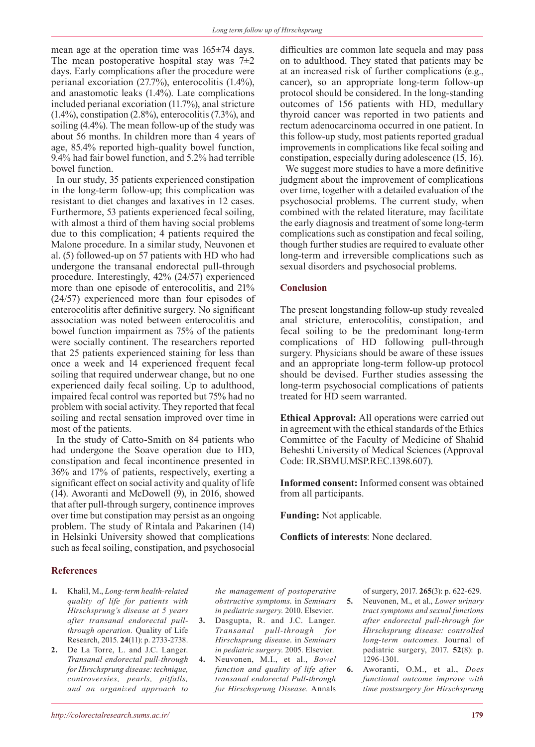mean age at the operation time was 165±74 days. The mean postoperative hospital stay was  $7\pm2$ days. Early complications after the procedure were perianal excoriation (27.7%), enterocolitis (1.4%), and anastomotic leaks (1.4%). Late complications included perianal excoriation (11.7%), anal stricture (1.4%), constipation (2.8%), enterocolitis (7.3%), and soiling (4.4%). The mean follow-up of the study was about 56 months. In children more than 4 years of age, 85.4% reported high-quality bowel function, 9.4% had fair bowel function, and 5.2% had terrible bowel function.

In our study, 35 patients experienced constipation in the long-term follow-up; this complication was resistant to diet changes and laxatives in 12 cases. Furthermore, 53 patients experienced fecal soiling, with almost a third of them having social problems due to this complication; 4 patients required the Malone procedure. In a similar study, Neuvonen et al. (5) followed-up on 57 patients with HD who had undergone the transanal endorectal pull-through procedure. Interestingly, 42% (24/57) experienced more than one episode of enterocolitis, and 21% (24/57) experienced more than four episodes of enterocolitis after definitive surgery. No significant association was noted between enterocolitis and bowel function impairment as 75% of the patients were socially continent. The researchers reported that 25 patients experienced staining for less than once a week and 14 experienced frequent fecal soiling that required underwear change, but no one experienced daily fecal soiling. Up to adulthood, impaired fecal control was reported but 75% had no problem with social activity. They reported that fecal soiling and rectal sensation improved over time in most of the patients.

In the study of Catto-Smith on 84 patients who had undergone the Soave operation due to HD, constipation and fecal incontinence presented in 36% and 17% of patients, respectively, exerting a significant effect on social activity and quality of life (14). Aworanti and McDowell (9), in 2016, showed that after pull-through surgery, continence improves over time but constipation may persist as an ongoing problem. The study of Rintala and Pakarinen (14) in Helsinki University showed that complications such as fecal soiling, constipation, and psychosocial

difficulties are common late sequela and may pass on to adulthood. They stated that patients may be at an increased risk of further complications (e.g., cancer), so an appropriate long-term follow-up protocol should be considered. In the long-standing outcomes of 156 patients with HD, medullary thyroid cancer was reported in two patients and rectum adenocarcinoma occurred in one patient. In this follow-up study, most patients reported gradual improvements in complications like fecal soiling and constipation, especially during adolescence (15, 16).

We suggest more studies to have a more definitive judgment about the improvement of complications over time, together with a detailed evaluation of the psychosocial problems. The current study, when combined with the related literature, may facilitate the early diagnosis and treatment of some long-term complications such as constipation and fecal soiling, though further studies are required to evaluate other long-term and irreversible complications such as sexual disorders and psychosocial problems.

## **Conclusion**

The present longstanding follow-up study revealed anal stricture, enterocolitis, constipation, and fecal soiling to be the predominant long-term complications of HD following pull-through surgery. Physicians should be aware of these issues and an appropriate long-term follow-up protocol should be devised. Further studies assessing the long-term psychosocial complications of patients treated for HD seem warranted.

**Ethical Approval:** All operations were carried out in agreement with the ethical standards of the Ethics Committee of the Faculty of Medicine of Shahid Beheshti University of Medical Sciences (Approval Code: IR.SBMU.MSP.REC.1398.607).

**Informed consent:** Informed consent was obtained from all participants.

**Funding:** Not applicable.

**Conflicts of interests**: None declared.

## **References**

- **1.** Khalil, M., *Long-term health-related quality of life for patients with Hirschsprung's disease at 5 years after transanal endorectal pullthrough operation.* Quality of Life Research, 2015. **24**(11): p. 2733-2738.
- **2.** De La Torre, L. and J.C. Langer. *Transanal endorectal pull-through for Hirschsprung disease: technique, controversies, pearls, pitfalls, and an organized approach to*

*the management of postoperative obstructive symptoms*. in *Seminars in pediatric surgery*. 2010. Elsevier.

- **3.** Dasgupta, R. and J.C. Langer. *Transanal pull-through for Hirschsprung disease*. in *Seminars in pediatric surgery*. 2005. Elsevier.
- **4.** Neuvonen, M.I., et al., *Bowel function and quality of life after transanal endorectal Pull-through for Hirschsprung Disease.* Annals

of surgery, 2017. **265**(3): p. 622-629.

- **5.** Neuvonen, M., et al., *Lower urinary tract symptoms and sexual functions after endorectal pull-through for Hirschsprung disease: controlled long-term outcomes.* Journal of pediatric surgery, 2017. **52**(8): p. 1296-1301.
- **6.** Aworanti, O.M., et al., *Does functional outcome improve with time postsurgery for Hirschsprung*